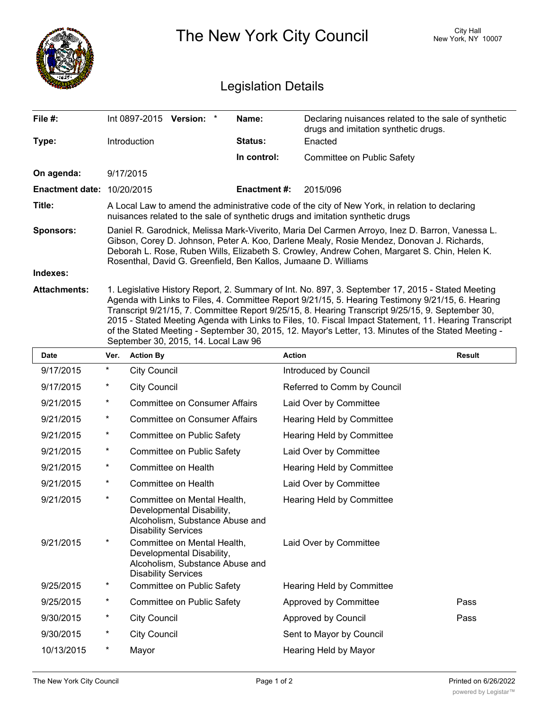|                                   | The New York City Council                                                                                                                                                                                                                                                                                                                                                                                                                                                                                                                                          |                        |                |               | <b>City Hall</b><br>New York, NY 10007                                                       |               |  |  |  |
|-----------------------------------|--------------------------------------------------------------------------------------------------------------------------------------------------------------------------------------------------------------------------------------------------------------------------------------------------------------------------------------------------------------------------------------------------------------------------------------------------------------------------------------------------------------------------------------------------------------------|------------------------|----------------|---------------|----------------------------------------------------------------------------------------------|---------------|--|--|--|
| <b>Legislation Details</b>        |                                                                                                                                                                                                                                                                                                                                                                                                                                                                                                                                                                    |                        |                |               |                                                                                              |               |  |  |  |
| File #:                           |                                                                                                                                                                                                                                                                                                                                                                                                                                                                                                                                                                    | Int 0897-2015 Version: | Name:          |               | Declaring nuisances related to the sale of synthetic<br>drugs and imitation synthetic drugs. |               |  |  |  |
| Type:                             |                                                                                                                                                                                                                                                                                                                                                                                                                                                                                                                                                                    | Introduction           | <b>Status:</b> |               | Enacted                                                                                      |               |  |  |  |
|                                   |                                                                                                                                                                                                                                                                                                                                                                                                                                                                                                                                                                    |                        | In control:    |               | Committee on Public Safety                                                                   |               |  |  |  |
| On agenda:                        | 9/17/2015                                                                                                                                                                                                                                                                                                                                                                                                                                                                                                                                                          |                        |                |               |                                                                                              |               |  |  |  |
| <b>Enactment date: 10/20/2015</b> |                                                                                                                                                                                                                                                                                                                                                                                                                                                                                                                                                                    |                        | Enactment #:   |               | 2015/096                                                                                     |               |  |  |  |
| Title:                            | A Local Law to amend the administrative code of the city of New York, in relation to declaring<br>nuisances related to the sale of synthetic drugs and imitation synthetic drugs                                                                                                                                                                                                                                                                                                                                                                                   |                        |                |               |                                                                                              |               |  |  |  |
| Sponsors:                         | Daniel R. Garodnick, Melissa Mark-Viverito, Maria Del Carmen Arroyo, Inez D. Barron, Vanessa L.<br>Gibson, Corey D. Johnson, Peter A. Koo, Darlene Mealy, Rosie Mendez, Donovan J. Richards,<br>Deborah L. Rose, Ruben Wills, Elizabeth S. Crowley, Andrew Cohen, Margaret S. Chin, Helen K.<br>Rosenthal, David G. Greenfield, Ben Kallos, Jumaane D. Williams                                                                                                                                                                                                    |                        |                |               |                                                                                              |               |  |  |  |
| Indexes:                          |                                                                                                                                                                                                                                                                                                                                                                                                                                                                                                                                                                    |                        |                |               |                                                                                              |               |  |  |  |
| <b>Attachments:</b>               | 1. Legislative History Report, 2. Summary of Int. No. 897, 3. September 17, 2015 - Stated Meeting<br>Agenda with Links to Files, 4. Committee Report 9/21/15, 5. Hearing Testimony 9/21/15, 6. Hearing<br>Transcript 9/21/15, 7. Committee Report 9/25/15, 8. Hearing Transcript 9/25/15, 9. September 30,<br>2015 - Stated Meeting Agenda with Links to Files, 10. Fiscal Impact Statement, 11. Hearing Transcript<br>of the Stated Meeting - September 30, 2015, 12. Mayor's Letter, 13. Minutes of the Stated Meeting -<br>September 30, 2015, 14. Local Law 96 |                        |                |               |                                                                                              |               |  |  |  |
| <b>Date</b>                       | Ver.                                                                                                                                                                                                                                                                                                                                                                                                                                                                                                                                                               | <b>Action By</b>       |                | <b>Action</b> |                                                                                              | <b>Result</b> |  |  |  |
| 9/17/2015                         | $^{\ast}$                                                                                                                                                                                                                                                                                                                                                                                                                                                                                                                                                          | <b>City Council</b>    |                |               | Introduced by Council                                                                        |               |  |  |  |
| 9/17/2015                         | *                                                                                                                                                                                                                                                                                                                                                                                                                                                                                                                                                                  | <b>City Council</b>    |                |               | Referred to Comm by Council                                                                  |               |  |  |  |

| 9/17/2015  | *          | <b>City Council</b>                                                                                                       | Referred to Comm by Council |      |
|------------|------------|---------------------------------------------------------------------------------------------------------------------------|-----------------------------|------|
| 9/21/2015  | $\star$    | <b>Committee on Consumer Affairs</b>                                                                                      | Laid Over by Committee      |      |
| 9/21/2015  | *          | <b>Committee on Consumer Affairs</b>                                                                                      | Hearing Held by Committee   |      |
| 9/21/2015  | $\star$    | Committee on Public Safety                                                                                                | Hearing Held by Committee   |      |
| 9/21/2015  | $^{\star}$ | Committee on Public Safety                                                                                                | Laid Over by Committee      |      |
| 9/21/2015  | $^\star$   | Committee on Health                                                                                                       | Hearing Held by Committee   |      |
| 9/21/2015  | $^\star$   | Committee on Health                                                                                                       | Laid Over by Committee      |      |
| 9/21/2015  | *          | Committee on Mental Health,<br>Developmental Disability,<br>Alcoholism, Substance Abuse and<br><b>Disability Services</b> | Hearing Held by Committee   |      |
| 9/21/2015  | $\ast$     | Committee on Mental Health,<br>Developmental Disability,<br>Alcoholism, Substance Abuse and<br><b>Disability Services</b> | Laid Over by Committee      |      |
| 9/25/2015  | $\star$    | Committee on Public Safety                                                                                                | Hearing Held by Committee   |      |
| 9/25/2015  | $^{\star}$ | Committee on Public Safety                                                                                                | Approved by Committee       | Pass |
| 9/30/2015  | $^{\star}$ | <b>City Council</b>                                                                                                       | Approved by Council         | Pass |
| 9/30/2015  | *          | <b>City Council</b>                                                                                                       | Sent to Mayor by Council    |      |
| 10/13/2015 | $^\star$   | Mayor                                                                                                                     | Hearing Held by Mayor       |      |